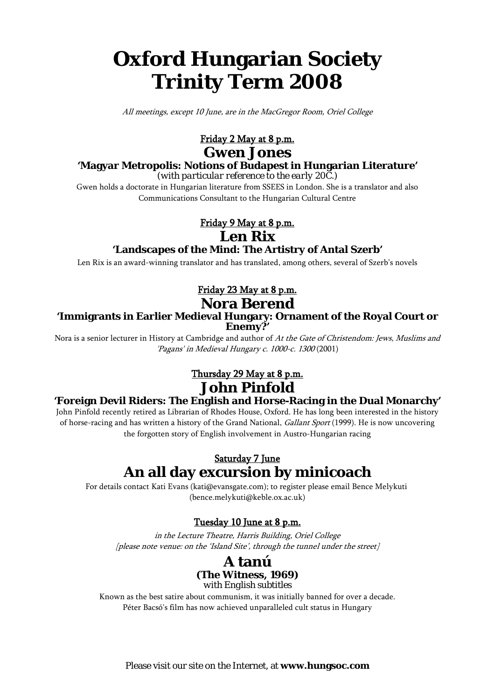# **Oxford Hungarian Society Trinity Term 2008**

All meetings, except 10 June, are in the MacGregor Room, Oriel College

# Friday 2 May at 8 p.m.

# **Gwen Jones**

## **'Magyar Metropolis: Notions of Budapest in Hungarian Literature'**

*(with particular reference to the early 20C.)*

Gwen holds a doctorate in Hungarian literature from SSEES in London. She is a translator and also Communications Consultant to the Hungarian Cultural Centre

### Friday 9 May at 8 p.m.

**Len Rix**

### **'Landscapes of the Mind: The Artistry of Antal Szerb'**

Len Rix is an award-winning translator and has translated, among others, several of Szerb's novels

# Friday 23 May at 8 p.m.

# **Nora Berend**

#### **'Immigrants in Earlier Medieval Hungary: Ornament of the Royal Court or Enemy?'**

Nora is a senior lecturer in History at Cambridge and author of At the Gate of Christendom: Jews, Muslims and 'Pagans' in Medieval Hungary c. 1000-c. 1300 (2001)

# **John Pinfold** Thursday 29 May at 8 p.m.

### **'Foreign Devil Riders: The English and Horse-Racing in the Dual Monarchy'**

John Pinfold recently retired as Librarian of Rhodes House, Oxford. He has long been interested in the history of horse-racing and has written a history of the Grand National, Gallant Sport (1999). He is now uncovering the forgotten story of English involvement in Austro-Hungarian racing

# **An all day excursion by minicoach** Saturday 7 June

For details contact Kati Evans (kati@evansgate.com); to register please email Bence Melykuti (bence.melykuti@keble.ox.ac.uk)

### Tuesday 10 June at 8 p.m.

in the Lecture Theatre, Harris Building, Oriel College [please note venue: on the 'Island Site', through the tunnel under the street]

### **A tanú (The Witness, 1969)** *with English subtitles*

Known as the best satire about communism, it was initially banned for over a decade. Péter Bacsó's film has now achieved unparalleled cult status in Hungary